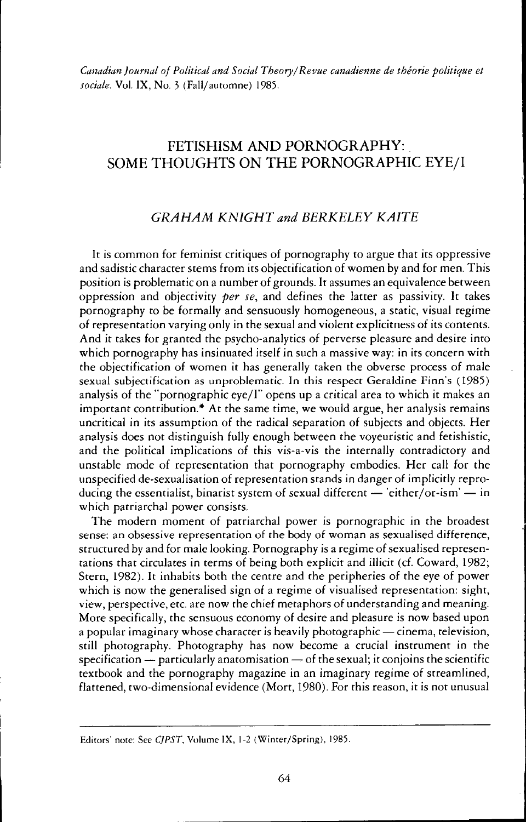Canadian Journal of Political and Social Theory/Revue canadienne de theorie politique et sociale. Vol. IX, No. 3 (Fall/automne) 1985.

# FETISHISM AND PORNOGRAPHY: SOME THOUGHTS ON THE PORNOGRAPHIC EYE/I

# GRAHAM KNIGHT and BERKELEY KAITE

It is common for feminist critiques of pornography to argue that its oppressive and sadistic character stems from its objectification of women by and for men. This position is problematic on a number of grounds. It assumes an equivalence between oppression and objectivity *per se*, and defines the latter as passivity. It takes pornography to be formally and sensuously homogeneous, a static, visual regime of representation varying only in the sexual and violent explicitness of its contents . And it takes for granted the psycho-analytics of perverse pleasure and desire into which pornography has insinuated itself in such a massive way: in its concern with the objectification of women it has generally taken the obverse process of male sexual subjectification as unproblematic. In this respect Geraldine Finn's (1985) analysis of the "pornographic eye/I" opens up a critical area to which it makes an important contribution .' At the same time, we would argue, her analysis remains uncritical in its assumption of the radical separation of subjects and objects. Her analysis does not distinguish fully enough between the voyeuristic and fetishistic, and the political implications of this vis-a-vis the internally contradictory and unstable mode of representation that pornography embodies. Her call for the unspecified de-sexualisation of representation stands in danger of implicitly reproducing the essentialist, binarist system of sexual different  $-$  'either/or-ism'  $-$  in which patriarchal power consists.

The modern moment of patriarchal power is pornographic in the broadest sense: an obsessive representation of the body of woman as sexualised difference, structured by and for male looking. Pornography is a regime of sexualised representations that circulates in terms of being both explicit and illicit (cf. Coward, 1982; Stern, 1982) . It inhabits both the centre and the peripheries of the eye of power which is now the generalised sign of a regime of visualised representation: sight, view, perspective, etc. are now the chief metaphors of understanding and meaning. More specifically, the sensuous economy of desire and pleasure is now based upon a popular imaginary whose character is heavily photographic  $-$  cinema, television, still photography. Photography has now become a crucial instrument in the  $specification - particularly anatomic of the sexual; it conjoins the scientific$ textbook and the pornography magazine in an imaginary regime of streamlined, flattened, two-dimensional evidence (Mort, 1980) . For this reason, it is not unusual

Editors' note: See CJPST, Volume IX, 1-2 (Winter/Spring), 1985.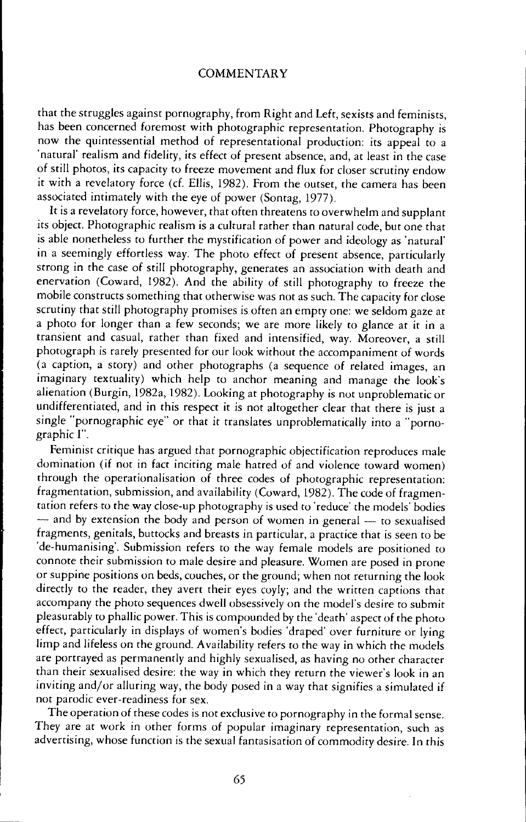that the struggles against pornography, from Right and Left, sexists and feminists, has been concerned foremost with photographic representation. Photography is now the quintessential method of representational production: its appeal to a 'natural' realism and fidelity, its effect of present absence, and, at least in the case of still photos, its capacity to freeze movement and flux for closer scrutiny endow it with a revelatory force (cf. Ellis, 1982) . From the outset, the camera has been associated intimately with the eye of power (Sontag, 1977).

It is a revelatory force, however, that often threatens to overwhelm and supplant its object. Photographic realism is a cultural rather than natural code, but one that is able nonetheless to further the mystification of power and ideology as 'natural' in a seemingly effortless way. The photo effect of present absence, particularly strong in the case of still photography, generates an association with death and enervation (Coward, 1982). And the ability of still photography to freeze the mobile constructs something that otherwise was not as such . The capacity for close scrutiny that still photography promises is often an empty one: we seldom gaze at a photo for longer than a few seconds; we are more likely to glance at it in <sup>a</sup> transient and casual, rather than fixed and intensified, way. Moreover, <sup>a</sup> still photograph is rarely presented for our look without the accompaniment of words (a caption, a story) and other photographs (a sequence of related images, an imaginary textuality) which help to anchor meaning and manage the look's alienation (Burgin, 1982a, 1982) . Looking at photography is not unproblematic or undifferentiated, and in this respect it is not altogether clear that there is just <sup>a</sup> single "pornographic eye" or that it translates unproblematically into a "pornographic I".

Feminist critique has argued that pornographic objectification reproduces male domination (if not in fact inciting male hatred of and violence toward women) through the operationalisation of three codes of photographic representation: fragmentation, submission, and availability (Coward, 1982). The code of fragmentation refers to the way close-up photography is used to 'reduce' the models' bodies  $-$  and by extension the body and person of women in general  $-$  to sexualised fragments, genitals, buttocks and breasts in particular, <sup>a</sup> practice that is seen to be 'de-humanising'. Submission refers to the way female models are positioned to connote their submission to male desire and pleasure . Women are posed in prone or suppine positions on beds, couches, or the ground; when not returning the look directly to the reader, they avert their eyes coyly; and the written captions that accompany the photo sequences dwell obsessively on the model's desire to submit pleasurably to phallic power. This is compounded by the'death' aspect of the photo effect, particularly in displays of women's bodies 'draped' over furniture or lying limp and lifeless on the ground. Availability refers to the way in which the models are portrayed as permanently and highly sexualised, as having no other character than their sexualised desire: the way in which they return the viewer's look in an inviting and/or alluring way, the body posed in a way that signifies a simulated if not parodic ever-readiness for sex.

The operation of these codes is not exclusive to pornography in the formal sense. They are at work in other forms of popular imaginary representation, such as advertising, whose function is the sexual fantasisation of commodity desire . In this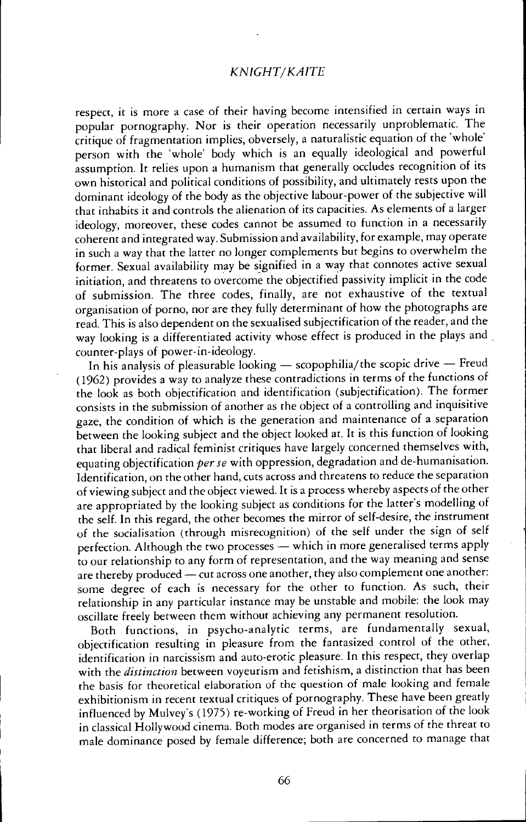# KNIGHT/KAITE

respect, it is more <sup>a</sup> case of their having become intensified in certain ways in popular pornography. Nor is their operation necessarily unproblematic. The critique of fragmentation implies, obversely, <sup>a</sup> naturalistic equation of the 'whole' person with the 'whole' body which is an equally ideological and powerful assumption. It relies upon a humanism that generally occludes recognition of its own historical and political conditions of possibility, and ultimately rests upon the dominant ideology of the body as the objective labour-power of the subjective will that inhabits it and controls the alienation of its capacities As elements of <sup>a</sup> larger ideology, moreover, these codes cannot be assumed to function in <sup>a</sup> necessarily coherent and integrated way. Submission and availability, for example, may operate in such <sup>a</sup> way that the latter no longer complements but begins to overwhelm the former. Sexual availability may be signified in <sup>a</sup> way that connotes active sexual initiation, and threatens to overcome the objectified passivity implicit in the code of submission. The three codes, finally, are not exhaustive of the textual organisation of porno, nor are they fully determinant of how the photographs are read . This is also dependent on the sexualised subjectification of the reader, and the way looking is a differentiated activity whose effect is produced in the plays and counter-plays of power-in-ideology.

In his analysis of pleasurable looking  $-$  scopophilia/the scopic drive  $-$  Freud (1962) provides <sup>a</sup> way to analyze these contradictions in terms of the functions of the look as both objectification and identification (subjectification) . The former consists in the submission of another as the object of <sup>a</sup> controlling and inquisitive gaze, the condition of which is the generation and maintenance of a separation between the looking subject and the object looked at. It is this function of looking that liberal and radical feminist critiques have largely concerned themselves with, equating objectification per se with oppression, degradation and de-humanisation. Identification, on the other hand, cuts across and threatens to reduce the separation of viewing subject and the object viewed. It is a process whereby aspects of the other are appropriated by the looking subject as conditions for the latter's modelling of the self. In this regard, the other becomes the mirror of self-desire, the instrument of the socialisation (through misrecognition) of the self under the sign of self perfection. Although the two processes - which in more generalised terms apply to our relationship to any form of representation, and the way meaning and sense are thereby produced  $-\text{cut}$  across one another, they also complement one another: some degree of each is necessary for the other to function . As such, their relationship in any particular instance may be unstable and mobile: the look may oscillate freely between them without achieving any permanent resolution.

Both functions, in psycho-analytic terms, are fundamentally sexual, objectification resulting in pleasure from the fantasized control of the other, identification in narcissism and auto-erotic pleasure. In this respect, they overlap with the *distinction* between voyeurism and fetishism, a distinction that has been the basis for theoretical elaboration of the question of male looking and female exhibitionism in recent textual critiques of pornography. These have been greatly influenced by Mulvey's (1975) re-working of Freud in her theorisation of the look in classical Hollywood cinema . Both modes are organised in terms of the threat to male dominance posed by female difference; both are concerned to manage that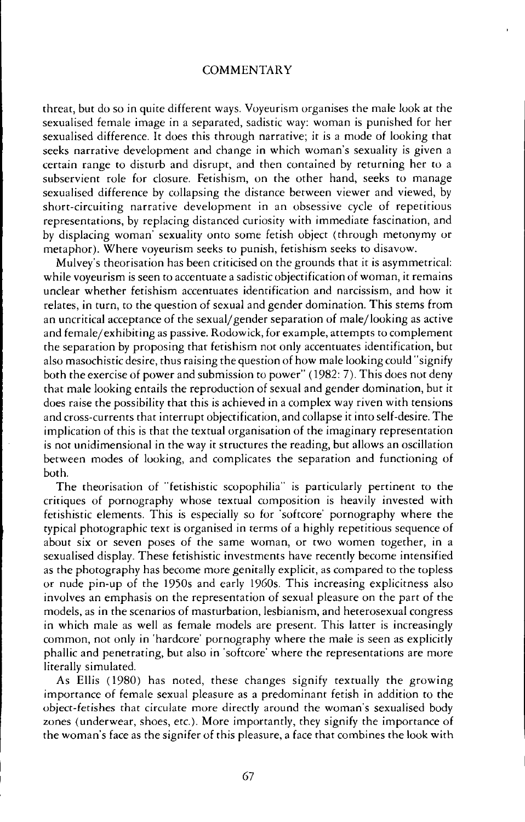threat, but do so in quite different ways. Voyeurism organises the male look at the sexualised female image in <sup>a</sup> separated, sadistic way: woman is punished for her sexualised difference . It does this through narrative; it is a mode of looking that seeks narrative development and change in which woman's sexuality is given a certain range to disturb and disrupt, and then contained by returning her to a subservient role for closure. Fetishism, on the other hand, seeks to manage sexualised difference by collapsing the distance between viewer and viewed, by short-circuiting narrative development in an obsessive cycle of repetitious representations, by replacing distanced curiosity with immediate fascination, and by displacing woman' sexuality onto some fetish object (through metonymy or metaphor). Where voyeurism seeks to punish, fetishism seeks to disavow.

Mulvey's theorisation has been criticised on the grounds that it is asymmetrical: while voyeurism is seen to accentuate a sadistic objectification of woman, it remains unclear whether fetishism accentuates identification and narcissism, and how it relates, in turn, to the question of sexual and gender domination. This stems from an uncritical acceptance of the sexual/gender separation of male/looking as active and female/exhibiting as passive. Rodowick, for example, attempts to complement the separation by proposing that fetishism not only accentuates identification, but also masochistic desire, thus raising the question of how male looking could "signify both the exercise of power and submission to power" (1982: 7). This does not deny that male looking entails the reproduction of sexual and gender domination, but it does raise the possibility that this is achieved in a complex way riven with tensions and cross-currents that interrupt objectification, and collapse it into self-desire. The implication of this is that the textual organisation of the imaginary representation is not unidimensional in the way it structures the reading, but allows an oscillation between modes of looking, and complicates the separation and functioning of both.

The theorisation of "fetishistic scopophilia" is particularly pertinent to the critiques of pornography whose textual composition is heavily invested with fetishistic elements. This is especially so for 'softcore' pornography where the typical photographic text is organised in terms of a highly repetitious sequence of about six or seven poses of the same woman, or two women together, in a sexualised display. These fetishistic investments have recently become intensified as the photography has become more genitally explicit, as compared to the topless or nude pin-up of the 1950s and early 1960s. This increasing explicitness also involves an emphasis on the representation of sexual pleasure on the part of the models, as in the scenarios of masturbation, lesbianism, and heterosexual congress in which male as well as female models are present. This latter is increasingly common, not only in 'hardcore' pornography where the male is seen as explicitly phallic and penetrating, but also in 'softcore' where the representations are more literally simulated.

As Ellis (1980) has noted, these changes signify textually the growing importance of female sexual pleasure as a predominant fetish in addition to the object-fetishes that circulate more directly around the woman's sexualised body zones (underwear, shoes, etc.) . More importantly, they signify the importance of the woman's face as the signifer of this pleasure, <sup>a</sup> face that combines the look with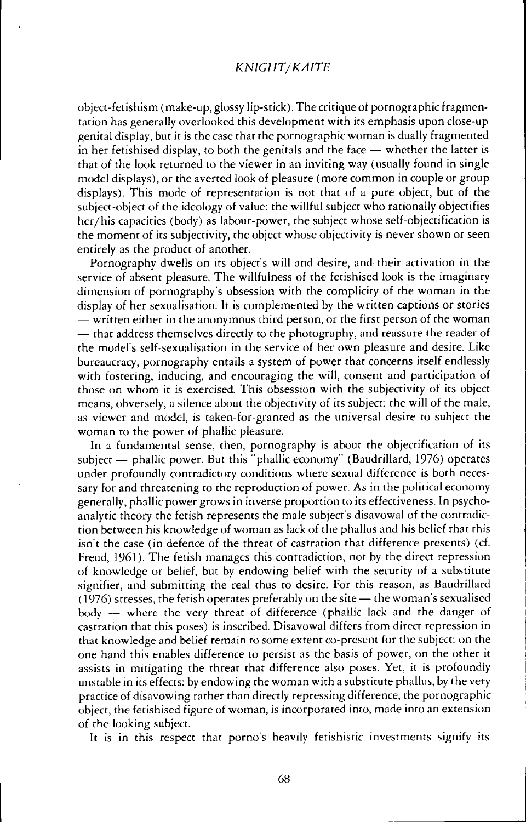#### KNIGHT/KAITE

object-fetishism (make-up, glossy lip-stick) . The critique of pornographic fragmentation has generally overlooked this development with its emphasis upon close-up genital display, but it is the case that the pornographic woman is dually fragmented in her fetishised display, to both the genitals and the face  $-$  whether the latter is that of the look returned to the viewer in an inviting way (usually found in single model displays), or the averted look of pleasure (more common in couple or group displays). This mode of representation is not that of a pure object, but of the subject-object of the ideology of value: the willful subject who rationally objectifies her/his capacities (body) as labour-power, the subject whose self-objectification is the moment of its subjectivity, the object whose objectivity is never shown or seen entirely as the product of another.

Pornography dwells on its object's will and desire, and their activation in the service of absent pleasure. The willfulness of the fetishised look is the imaginary dimension of pornography's obsession with the complicity of the woman in the display of her sexualisation. It is complemented by the written captions or stories - written either in the anonymous third person, or the first person of the woman - that address themselves directly to the photography, and reassure the reader of the model's self-sexualisation in the service of her own pleasure and desire . Like bureaucracy, pornography entails <sup>a</sup> system of power that concerns itself endlessly with fostering, inducing, and encouraging the will, consent and participation of those on whom it is exercised. This obsession with the subjectivity of its object means, obversely, a silence about the objectivity of its subject: the will of the male, as viewer and model, is taken-for-granted as the universal desire to subject the woman to the power of phallic pleasure.

In a fundamental sense, then, pornography is about the objectification of its subject  $-$  phallic power. But this "phallic economy" (Baudrillard, 1976) operates under profoundly contradictory conditions where sexual difference is both necessary for and threatening to the reproduction of power. As in the political economy generally, phallic power grows in inverse proportion to its effectiveness In psychoanalytic theory the fetish represents the male subject's disavowal of the contradiction between his knowledge of woman as lack of the phallus and his belief that this isn't the case (in defence of the threat of castration that difference presents) (cf. Freud, 1961). The fetish manages this contradiction, not by the direct repression of knowledge or belief, but by endowing belief with the security of a substitute signifier, and submitting the real thus to desire . For this reason, as Baudrillard  $(1976)$  stresses, the fetish operates preferably on the site  $-$  the woman's sexualised body - where the very threat of difference (phallic lack and the danger of castration that this poses) is inscribed. Disavowal differs from direct repression in that knowledge and belief remain to some extent co-present for the subject: on the one hand this enables difference to persist as the basis of power, on the other it assists in mitigating the threat that difference also poses. Yet, it is profoundly unstable in its effects: by endowing the woman with a substitute phallus, by the very practice of disavowing rather than directly repressing difference, the pornographic object, the fetishised figure of woman, is incorporated into, made into an extension of the looking subject.

It is in this respect that porno's heavily fetishistic investments signify its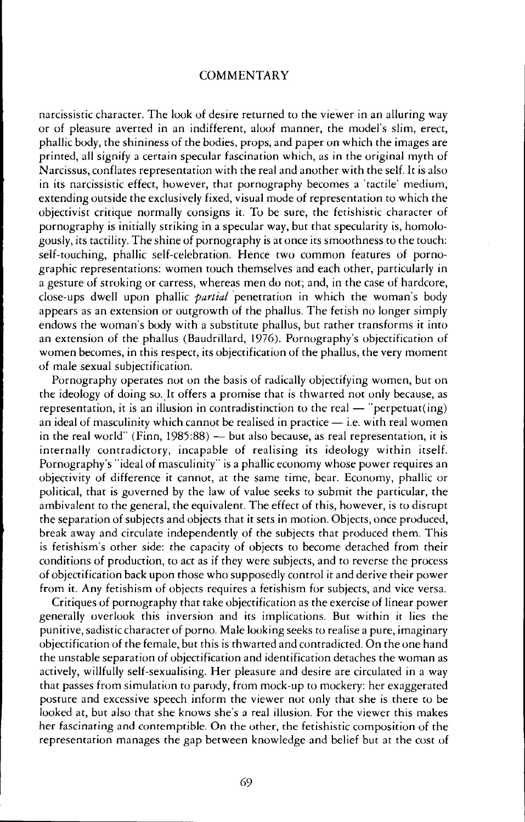narcissistic character. The look of desire returned to the viewer in an alluring way or of pleasure averted in an indifferent, aloof manner, the model's slim, erect, phallic body, the shininess of the bodies, props, and paper on which the images are printed, all signify a certain specular fascination which, as in the original myth of Narcissus, conflates representation with the real and another with the self It is also in its narcissistic effect, however, that pornography becomes <sup>a</sup> 'tactile' medium, extending outside the exclusively fixed, visual mode of representation to which the objectivist critique normally consigns it. To be sure, the fetishistic character of pornography is initially striking in a specular way, but that specularity is, homologously, its tactility. The shine of pornography is at once its smoothness to the touch: self-touching, phallic self-celebration. Hence two common features of pornographic representations: women touch themselves and each other, particularly in a gesture of stroking or carress, whereas men do not; and, in the case of hardcore, close-ups dwell upon phallic *partial* penetration in which the woman's body appears as an extension or outgrowth of the phallus. The fetish no longer simply endows the woman's body with <sup>a</sup> substitute phallus, but rather transforms it into an extension of the phallus (Baudrillard, 1976) . Pornography's objectification of women becomes, in this respect, its objectification of the phallus, the very moment of male sexual subjectification.

Pornography operates not on the basis of radically objectifying women, but on the ideology of doing so. It offers a promise that is thwarted not only because, as representation, it is an illusion in contradistinction to the real  $-$  "perpetuat(ing) an ideal of masculinity which cannot be realised in practice  $-$  i.e. with real women in the real world" (Finn,  $1985.88$ )  $-$  but also because, as real representation, it is internally contradictory, incapable of realising its ideology within itself. Pornography's "ideal of masculinity" is <sup>a</sup> phallic economy whose power requires an objectivity of difference it cannot, at the same time, bear. Economy, phallic or political, that is governed by the law of value seeks to submit the particular, the ambivalent to the general, the equivalent. The effect of this, however, is to disrupt the separation of subjects and objects that it sets in motion Objects, once produced, break away and circulate independently of the subjects that produced them. This is fetishism's other side: the capacity of objects to become detached from their conditions of production, to act as if they were subjects, and to reverse the process of objectification back upon those who supposedly control it and derive their power from it . Any fetishism of objects requires <sup>a</sup> fetishism for subjects, and vice versa.

Critiques of pornography that take objectification as the exercise of linear power generally overlook this inversion and its implications . But within it lies the punitive, sadistic character of porno. Male looking seeks to realise a pure, imaginary objectification of the female, but this is thwarted and contradicted On the one hand the unstable separation of objectification and identification detaches the woman as actively, willfully self-sexualising. Her pleasure and desire are circulated in a way that passes from simulation to parody, from mock-up to mockery: her exaggerated posture and excessive speech inform the viewer not only that she is there to be looked at, but also that she knows she's <sup>a</sup> real illusion For the viewer this makes her fascinating and contemptible. On the other, the fetishistic composition of the representation manages the gap between knowledge and belief but at the cost of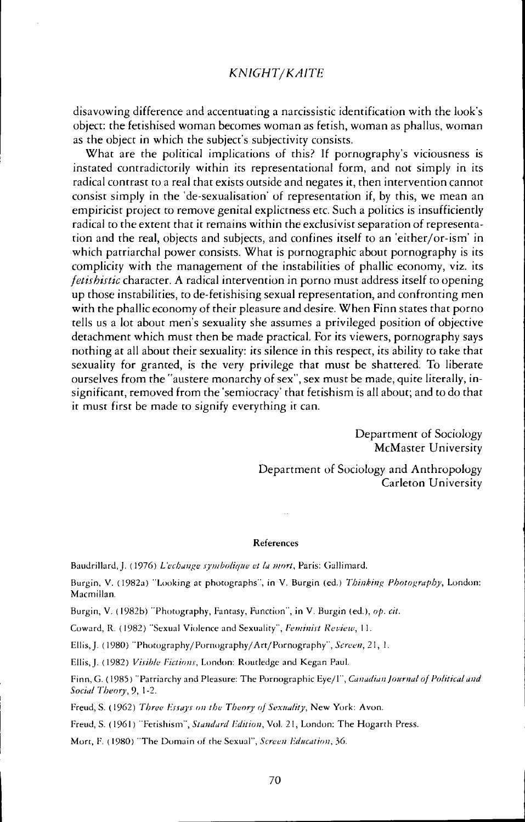# KNIGHT/KAITE

disavowing difference and accentuating a narcissistic identification with the look's object : the fetishised woman becomes woman as fetish, woman as phallus, woman as the object in which the subject's subjectivity consists.

What are the political implications of this? If pornography's viciousness is instated contradictorily within its representational form, and not simply in its radical contrast to a real that exists outside and negates it, then intervention cannot consist simply in the 'de-sexualisation' of representation if, by this, we mean an empiricist project to remove genital explictness etc. Such a politics is insufficiently radical to the extent that it remains within the exclusivist separation of representation and the real, objects and subjects, and confines itself to an 'either/or-ism' in which patriarchal power consists. What is pornographic about pornography is its complicity with the management of the instabilities of phallic economy, viz. its fetishistic character. A radical intervention in porno must address itself to opening up those instabilities, to de-fetishising sexual representation, and confronting men with the phallic economy of their pleasure and desire. When Finn states that porno tells us a lot about men's sexuality she assumes a privileged position of objective detachment which must then be made practical. For its viewers, pornography says nothing at all about their sexuality: its silence in this respect, its ability to take that sexuality for granted, is the very privilege that must be shattered. To liberate ourselves from the "austere monarchy of sex", sex must be made, quite literally, insignificant, removed from the'semiocracy' that fetishism is all about; and to do that it must first be made to signify everything it can.

> Department of Sociology McMaster University

Department of Sociology and Anthropology Carleton University

#### References

Baudrillard, J. (1976) L'echange symbolique et la mort, Paris: Gallimard.

Burgin, V. (1982a) "Looking at photographs", in V. Burgin (ed.) Thinking Photography, London: Macmillan

Burgin, V. (1982b) "Photography, Fantasy, Function", in V. Burgin (ed.), op. cit.

Coward, R. (1982) "Sexual Violence and Sexuality", Feminist Review, 11.

Ellis, J. (1980) "Photography/Pornography/Art/Pornography", Screen, 21, 1.

Ellis, J. (1982) Visible Fictions, London: Routledge and Kegan Paul.

Finn, G. (1985) "Patriarchy and Pleasure: The Pornographic Eye/I", Canadian Journal of Political and Social Theory, 9, 1-2.

Freud, S. (1962) Three Essays on the Theory of Sexuality, New York: Avon.

Freud, S. (1961) "Fetishism", Standard Edition, Vol. 21, London: The Hogarth Press.

Mort, F. (1980) "The Domain of the Sexual", Screen Education, 36.